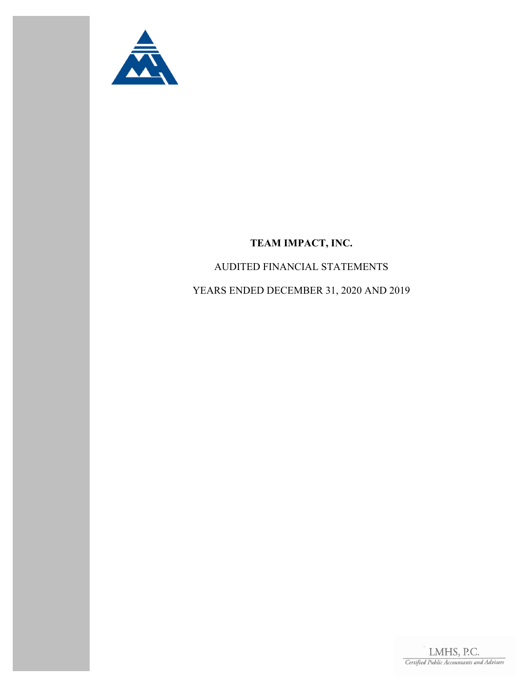

# **TEAM IMPACT, INC.**

# AUDITED FINANCIAL STATEMENTS

YEARS ENDED DECEMBER 31, 2020 AND 2019

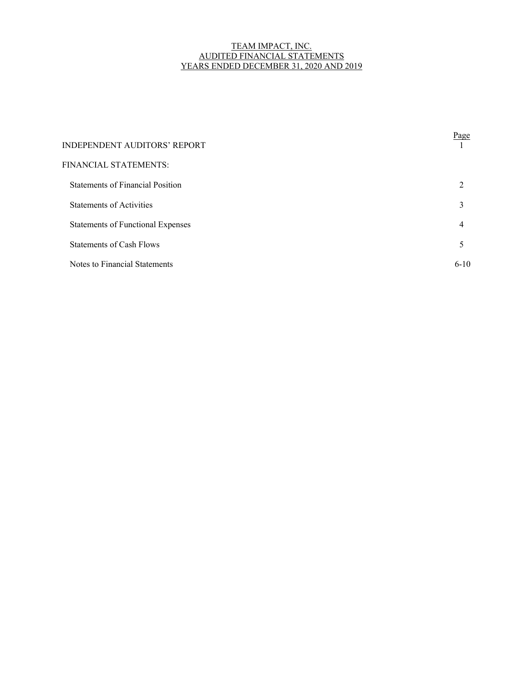### TEAM IMPACT, INC. AUDITED FINANCIAL STATEMENTS YEARS ENDED DECEMBER 31, 2020 AND 2019

| <b>INDEPENDENT AUDITORS' REPORT</b>      | Page     |
|------------------------------------------|----------|
| FINANCIAL STATEMENTS:                    |          |
| <b>Statements of Financial Position</b>  |          |
| <b>Statements of Activities</b>          |          |
| <b>Statements of Functional Expenses</b> |          |
| Statements of Cash Flows                 |          |
| Notes to Financial Statements            | $6 - 10$ |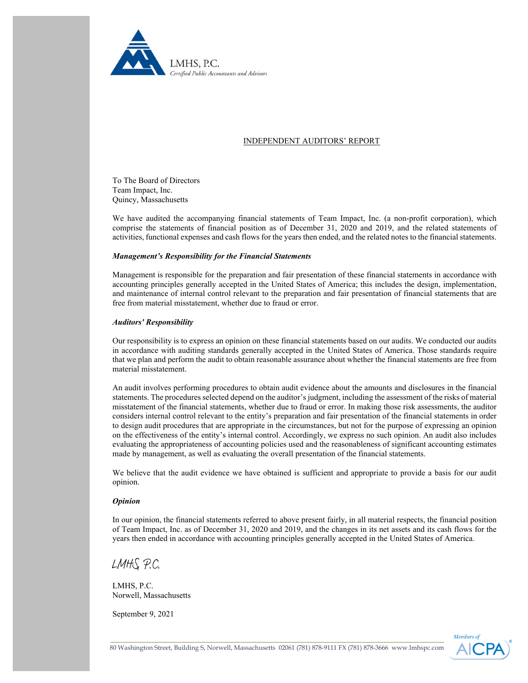

## INDEPENDENT AUDITORS' REPORT

To The Board of Directors Team Impact, Inc. Quincy, Massachusetts

We have audited the accompanying financial statements of Team Impact, Inc. (a non-profit corporation), which comprise the statements of financial position as of December 31, 2020 and 2019, and the related statements of activities, functional expenses and cash flows for the years then ended, and the related notes to the financial statements.

#### *Management's Responsibility for the Financial Statements*

Management is responsible for the preparation and fair presentation of these financial statements in accordance with accounting principles generally accepted in the United States of America; this includes the design, implementation, and maintenance of internal control relevant to the preparation and fair presentation of financial statements that are free from material misstatement, whether due to fraud or error.

#### *Auditors' Responsibility*

Our responsibility is to express an opinion on these financial statements based on our audits. We conducted our audits in accordance with auditing standards generally accepted in the United States of America. Those standards require that we plan and perform the audit to obtain reasonable assurance about whether the financial statements are free from material misstatement.

An audit involves performing procedures to obtain audit evidence about the amounts and disclosures in the financial statements. The procedures selected depend on the auditor's judgment, including the assessment of the risks of material misstatement of the financial statements, whether due to fraud or error. In making those risk assessments, the auditor considers internal control relevant to the entity's preparation and fair presentation of the financial statements in order to design audit procedures that are appropriate in the circumstances, but not for the purpose of expressing an opinion on the effectiveness of the entity's internal control. Accordingly, we express no such opinion. An audit also includes evaluating the appropriateness of accounting policies used and the reasonableness of significant accounting estimates made by management, as well as evaluating the overall presentation of the financial statements.

We believe that the audit evidence we have obtained is sufficient and appropriate to provide a basis for our audit opinion.

#### *Opinion*

In our opinion, the financial statements referred to above present fairly, in all material respects, the financial position of Team Impact, Inc. as of December 31, 2020 and 2019, and the changes in its net assets and its cash flows for the years then ended in accordance with accounting principles generally accepted in the United States of America.

LMHS, P.C.

LMHS, P.C. Norwell, Massachusetts

September 9, 2021

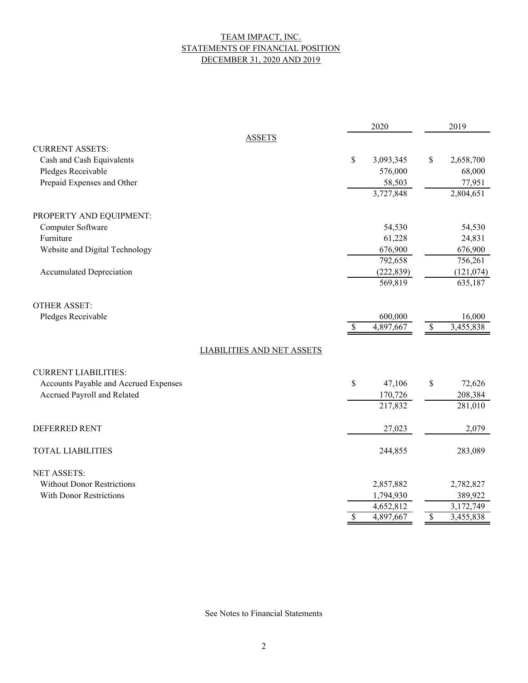# TEAM IMPACT, INC. STATEMENTS OF FINANCIAL POSITION DECEMBER 31, 2020 AND 2019

|                                       |                                   | 2020            |                           | 2019       |
|---------------------------------------|-----------------------------------|-----------------|---------------------------|------------|
|                                       | <b>ASSETS</b>                     |                 |                           |            |
| <b>CURRENT ASSETS:</b>                |                                   |                 |                           |            |
| Cash and Cash Equivalents             |                                   | \$<br>3,093,345 | \$                        | 2,658,700  |
| Pledges Receivable                    |                                   | 576,000         |                           | 68,000     |
| Prepaid Expenses and Other            |                                   | 58,503          |                           | 77,951     |
|                                       |                                   | 3,727,848       |                           | 2,804,651  |
| PROPERTY AND EQUIPMENT:               |                                   |                 |                           |            |
| Computer Software                     |                                   | 54,530          |                           | 54,530     |
| Furniture                             |                                   | 61,228          |                           | 24,831     |
| Website and Digital Technology        |                                   | 676,900         |                           | 676,900    |
|                                       |                                   | 792,658         |                           | 756,261    |
| <b>Accumulated Depreciation</b>       |                                   | (222, 839)      |                           | (121, 074) |
|                                       |                                   | 569,819         |                           | 635,187    |
| <b>OTHER ASSET:</b>                   |                                   |                 |                           |            |
| Pledges Receivable                    |                                   | 600,000         |                           | 16,000     |
|                                       |                                   | \$<br>4,897,667 | $\boldsymbol{\mathsf{S}}$ | 3,455,838  |
|                                       | <b>LIABILITIES AND NET ASSETS</b> |                 |                           |            |
| <b>CURRENT LIABILITIES:</b>           |                                   |                 |                           |            |
| Accounts Payable and Accrued Expenses |                                   | \$<br>47,106    | \$                        | 72,626     |
| Accrued Payroll and Related           |                                   | 170,726         |                           | 208,384    |
|                                       |                                   | 217,832         |                           | 281,010    |
| DEFERRED RENT                         |                                   | 27,023          |                           | 2,079      |
| <b>TOTAL LIABILITIES</b>              |                                   | 244,855         |                           | 283,089    |
| <b>NET ASSETS:</b>                    |                                   |                 |                           |            |
| <b>Without Donor Restrictions</b>     |                                   | 2,857,882       |                           | 2,782,827  |
| <b>With Donor Restrictions</b>        |                                   | 1,794,930       |                           | 389,922    |
|                                       |                                   | 4,652,812       |                           | 3,172,749  |
|                                       |                                   | \$<br>4,897,667 | $\overline{\mathcal{S}}$  | 3,455,838  |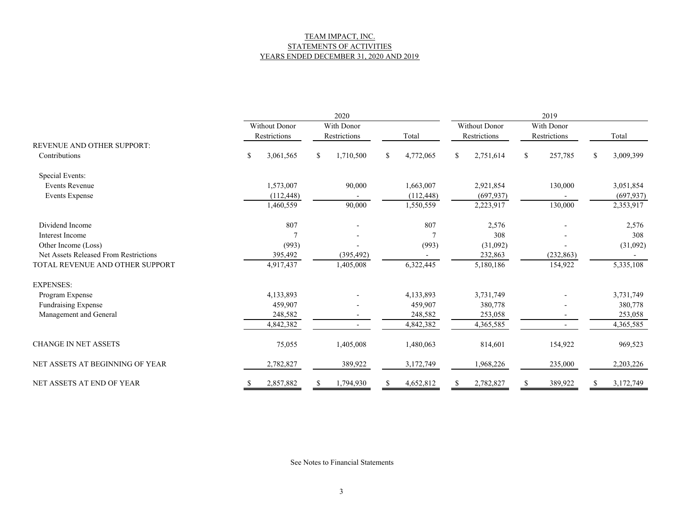### TEAM IMPACT, INC. STATEMENTS OF ACTIVITIES YEARS ENDED DECEMBER 31, 2020 AND 2019

|                                       |     | 2020                 |    |              |    |            |    |                      | 2019 |                |               |            |  |  |  |  |  |
|---------------------------------------|-----|----------------------|----|--------------|----|------------|----|----------------------|------|----------------|---------------|------------|--|--|--|--|--|
|                                       |     | <b>Without Donor</b> |    | With Donor   |    |            |    | <b>Without Donor</b> |      | With Donor     |               |            |  |  |  |  |  |
| <b>REVENUE AND OTHER SUPPORT:</b>     |     | Restrictions         |    | Restrictions |    | Total      |    | Restrictions         |      | Restrictions   | Total         |            |  |  |  |  |  |
| Contributions                         | \$  | 3,061,565            | S. | 1,710,500    | \$ | 4,772,065  | \$ | 2,751,614            | \$   | 257,785        | <sup>\$</sup> | 3,009,399  |  |  |  |  |  |
| Special Events:                       |     |                      |    |              |    |            |    |                      |      |                |               |            |  |  |  |  |  |
| <b>Events Revenue</b>                 |     | 1,573,007            |    | 90,000       |    | 1,663,007  |    | 2,921,854            |      | 130,000        |               | 3,051,854  |  |  |  |  |  |
| <b>Events Expense</b>                 |     | (112, 448)           |    |              |    | (112, 448) |    | (697, 937)           |      |                |               | (697, 937) |  |  |  |  |  |
|                                       |     | 1,460,559            |    | 90,000       |    | 1,550,559  |    | 2,223,917            |      | 130,000        |               | 2,353,917  |  |  |  |  |  |
| Dividend Income                       |     | 807                  |    |              |    | 807        |    | 2,576                |      |                |               | 2,576      |  |  |  |  |  |
| Interest Income                       |     |                      |    |              |    |            |    | 308                  |      |                |               | 308        |  |  |  |  |  |
| Other Income (Loss)                   |     | (993)                |    |              |    | (993)      |    | (31,092)             |      |                |               | (31,092)   |  |  |  |  |  |
| Net Assets Released From Restrictions |     | 395,492              |    | (395, 492)   |    |            |    | 232,863              |      | (232, 863)     |               |            |  |  |  |  |  |
| TOTAL REVENUE AND OTHER SUPPORT       |     | 4,917,437            |    | 1,405,008    |    | 6,322,445  |    | 5,180,186            |      | 154,922        |               | 5,335,108  |  |  |  |  |  |
| <b>EXPENSES:</b>                      |     |                      |    |              |    |            |    |                      |      |                |               |            |  |  |  |  |  |
| Program Expense                       |     | 4,133,893            |    |              |    | 4,133,893  |    | 3,731,749            |      |                |               | 3,731,749  |  |  |  |  |  |
| <b>Fundraising Expense</b>            |     | 459,907              |    |              |    | 459,907    |    | 380,778              |      |                |               | 380,778    |  |  |  |  |  |
| Management and General                |     | 248,582              |    |              |    | 248,582    |    | 253,058              |      |                |               | 253,058    |  |  |  |  |  |
|                                       |     | 4,842,382            |    |              |    | 4,842,382  |    | 4,365,585            |      | $\overline{a}$ |               | 4,365,585  |  |  |  |  |  |
| <b>CHANGE IN NET ASSETS</b>           |     | 75,055               |    | 1,405,008    |    | 1,480,063  |    | 814,601              |      | 154,922        |               | 969,523    |  |  |  |  |  |
| NET ASSETS AT BEGINNING OF YEAR       |     | 2,782,827            |    | 389,922      |    | 3,172,749  |    | 1,968,226            |      | 235,000        |               | 2,203,226  |  |  |  |  |  |
| NET ASSETS AT END OF YEAR             | \$. | 2,857,882            |    | 1,794,930    |    | 4,652,812  |    | 2,782,827            | S.   | 389,922        |               | 3,172,749  |  |  |  |  |  |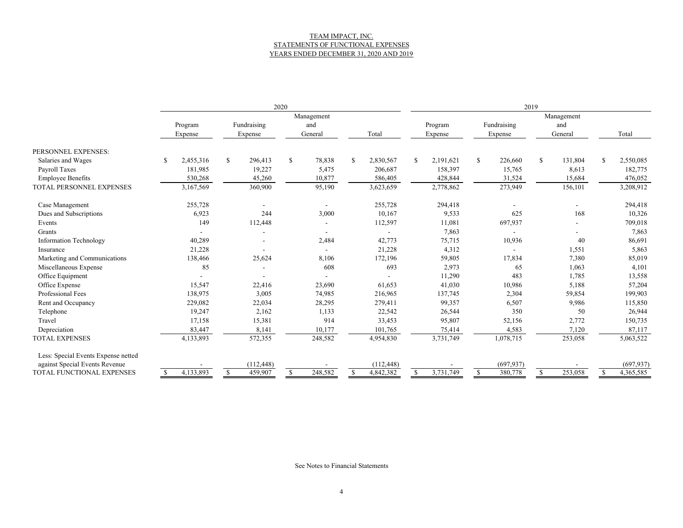#### TEAM IMPACT, INC. STATEMENTS OF FUNCTIONAL EXPENSES YEARS ENDED DECEMBER 31, 2020 AND 2019

|                                     | 2020 |           |               |                                   |   |            |                         | 2019           |               |           |                    |                        |    |                |               |            |  |
|-------------------------------------|------|-----------|---------------|-----------------------------------|---|------------|-------------------------|----------------|---------------|-----------|--------------------|------------------------|----|----------------|---------------|------------|--|
|                                     |      |           |               |                                   |   | Management |                         |                |               |           |                    |                        |    | Management     |               |            |  |
|                                     |      | Program   |               | Fundraising<br>Expense<br>Expense |   |            | and<br>General<br>Total |                |               |           | Program<br>Expense | Fundraising<br>Expense |    | and<br>General |               | Total      |  |
|                                     |      |           |               |                                   |   |            |                         |                |               |           |                    |                        |    |                |               |            |  |
| PERSONNEL EXPENSES:                 |      |           |               |                                   |   |            |                         |                |               |           |                    |                        |    |                |               |            |  |
| Salaries and Wages                  | S.   | 2,455,316 | <sup>\$</sup> | 296.413                           | S | 78,838     | S.                      | 2,830,567      | <sup>\$</sup> | 2,191,621 | \$                 | 226,660                | S. | 131,804        | <sup>\$</sup> | 2,550,085  |  |
| Payroll Taxes                       |      | 181,985   |               | 19,227                            |   | 5,475      |                         | 206,687        |               | 158,397   |                    | 15,765                 |    | 8,613          |               | 182,775    |  |
| <b>Employee Benefits</b>            |      | 530,268   |               | 45,260                            |   | 10,877     |                         | 586,405        |               | 428,844   |                    | 31,524                 |    | 15,684         |               | 476,052    |  |
| <b>TOTAL PERSONNEL EXPENSES</b>     |      | 3,167,569 |               | 360,900                           |   | 95,190     |                         | 3,623,659      |               | 2,778,862 |                    | 273,949                |    | 156,101        |               | 3,208,912  |  |
| Case Management                     |      | 255,728   |               |                                   |   |            |                         | 255,728        |               | 294,418   |                    |                        |    | Ξ.             |               | 294,418    |  |
| Dues and Subscriptions              |      | 6,923     |               | 244                               |   | 3,000      |                         | 10,167         |               | 9,533     |                    | 625                    |    | 168            |               | 10,326     |  |
| Events                              |      | 149       |               | 112,448                           |   |            |                         | 112,597        |               | 11,081    |                    | 697,937                |    |                |               | 709,018    |  |
| Grants                              |      |           |               |                                   |   |            |                         | $\blacksquare$ |               | 7,863     |                    |                        |    |                |               | 7,863      |  |
| <b>Information Technology</b>       |      | 40,289    |               |                                   |   | 2,484      |                         | 42,773         |               | 75,715    |                    | 10,936                 |    | 40             |               | 86,691     |  |
| Insurance                           |      | 21,228    |               |                                   |   |            |                         | 21,228         |               | 4,312     |                    |                        |    | 1,551          |               | 5,863      |  |
| Marketing and Communications        |      | 138,466   |               | 25,624                            |   | 8,106      |                         | 172,196        |               | 59,805    |                    | 17,834                 |    | 7,380          |               | 85,019     |  |
| Miscellaneous Expense               |      | 85        |               |                                   |   | 608        |                         | 693            |               | 2,973     |                    | 65                     |    | 1,063          |               | 4,101      |  |
| Office Equipment                    |      |           |               |                                   |   |            |                         |                |               | 11,290    |                    | 483                    |    | 1,785          |               | 13,558     |  |
| Office Expense                      |      | 15,547    |               | 22,416                            |   | 23,690     |                         | 61.653         |               | 41,030    |                    | 10,986                 |    | 5,188          |               | 57,204     |  |
| Professional Fees                   |      | 138,975   |               | 3.005                             |   | 74,985     |                         | 216,965        |               | 137,745   |                    | 2,304                  |    | 59,854         |               | 199,903    |  |
| Rent and Occupancy                  |      | 229,082   |               | 22,034                            |   | 28,295     |                         | 279,411        |               | 99,357    |                    | 6,507                  |    | 9,986          |               | 115,850    |  |
| Telephone                           |      | 19,247    |               | 2.162                             |   | 1,133      |                         | 22,542         |               | 26,544    |                    | 350                    |    | 50             |               | 26,944     |  |
| Travel                              |      | 17,158    |               | 15,381                            |   | 914        |                         | 33,453         |               | 95,807    |                    | 52,156                 |    | 2,772          |               | 150,735    |  |
| Depreciation                        |      | 83,447    |               | 8,141                             |   | 10,177     |                         | 101,765        |               | 75,414    |                    | 4,583                  |    | 7,120          |               | 87,117     |  |
| <b>TOTAL EXPENSES</b>               |      | 4,133,893 |               | 572,355                           |   | 248,582    |                         | 4,954,830      |               | 3,731,749 |                    | 1,078,715              |    | 253,058        |               | 5,063,522  |  |
| Less: Special Events Expense netted |      |           |               |                                   |   |            |                         |                |               |           |                    |                        |    |                |               |            |  |
| against Special Events Revenue      |      |           |               | (112, 448)                        |   |            |                         | (112, 448)     |               |           |                    | (697, 937)             |    |                |               | (697, 937) |  |
| TOTAL FUNCTIONAL EXPENSES           | \$   | 4,133,893 |               | 459,907                           | S | 248,582    |                         | 4,842,382      | \$.           | 3,731,749 | S.                 | 380,778                |    | 253,058        | \$            | 4,365,585  |  |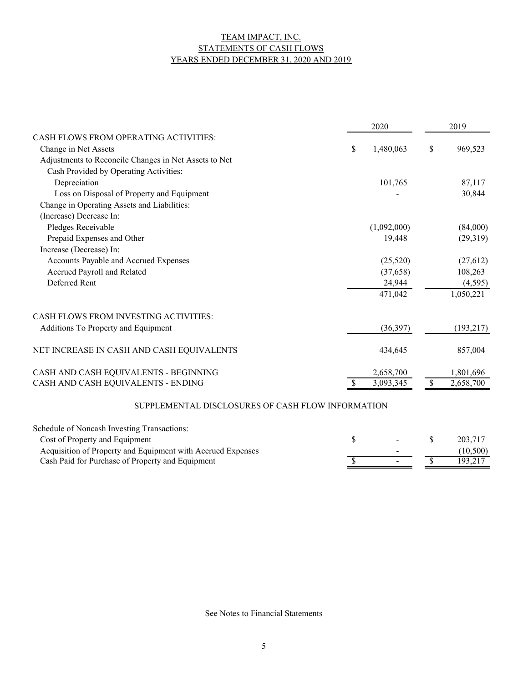# TEAM IMPACT, INC. STATEMENTS OF CASH FLOWS YEARS ENDED DECEMBER 31, 2020 AND 2019

|                                                             |                          | 2020        | 2019                     |            |  |
|-------------------------------------------------------------|--------------------------|-------------|--------------------------|------------|--|
| CASH FLOWS FROM OPERATING ACTIVITIES:                       |                          |             |                          |            |  |
| Change in Net Assets                                        | \$                       | 1,480,063   | \$                       | 969,523    |  |
| Adjustments to Reconcile Changes in Net Assets to Net       |                          |             |                          |            |  |
| Cash Provided by Operating Activities:                      |                          |             |                          |            |  |
| Depreciation                                                |                          | 101,765     |                          | 87,117     |  |
| Loss on Disposal of Property and Equipment                  |                          |             |                          | 30,844     |  |
| Change in Operating Assets and Liabilities:                 |                          |             |                          |            |  |
| (Increase) Decrease In:                                     |                          |             |                          |            |  |
| Pledges Receivable                                          |                          | (1,092,000) |                          | (84,000)   |  |
| Prepaid Expenses and Other                                  |                          | 19,448      |                          | (29,319)   |  |
| Increase (Decrease) In:                                     |                          |             |                          |            |  |
| Accounts Payable and Accrued Expenses                       |                          | (25,520)    |                          | (27,612)   |  |
| Accrued Payroll and Related                                 |                          | (37, 658)   |                          | 108,263    |  |
| Deferred Rent                                               |                          | 24,944      |                          | (4,595)    |  |
|                                                             |                          | 471,042     |                          | 1,050,221  |  |
| CASH FLOWS FROM INVESTING ACTIVITIES:                       |                          |             |                          |            |  |
| Additions To Property and Equipment                         |                          | (36,397)    |                          | (193, 217) |  |
| NET INCREASE IN CASH AND CASH EQUIVALENTS                   |                          | 434,645     |                          | 857,004    |  |
| CASH AND CASH EQUIVALENTS - BEGINNING                       |                          | 2,658,700   |                          | 1,801,696  |  |
| CASH AND CASH EQUIVALENTS - ENDING                          |                          | 3,093,345   | \$                       | 2,658,700  |  |
| SUPPLEMENTAL DISCLOSURES OF CASH FLOW INFORMATION           |                          |             |                          |            |  |
| Schedule of Noncash Investing Transactions:                 |                          |             |                          |            |  |
| Cost of Property and Equipment                              | \$                       |             | \$                       | 203,717    |  |
| Acquisition of Property and Equipment with Accrued Expenses |                          |             |                          | (10,500)   |  |
| Cash Paid for Purchase of Property and Equipment            | $\overline{\mathcal{S}}$ |             | $\overline{\mathcal{S}}$ | 193,217    |  |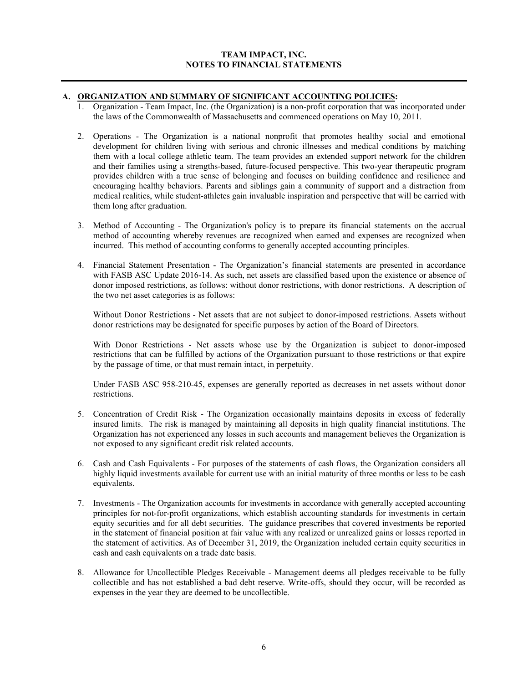## **TEAM IMPACT, INC. NOTES TO FINANCIAL STATEMENTS**

# **A. ORGANIZATION AND SUMMARY OF SIGNIFICANT ACCOUNTING POLICIES:**

- 1. Organization Team Impact, Inc. (the Organization) is a non-profit corporation that was incorporated under the laws of the Commonwealth of Massachusetts and commenced operations on May 10, 2011.
- 2. Operations The Organization is a national nonprofit that promotes healthy social and emotional development for children living with serious and chronic illnesses and medical conditions by matching them with a local college athletic team. The team provides an extended support network for the children and their families using a strengths-based, future-focused perspective. This two-year therapeutic program provides children with a true sense of belonging and focuses on building confidence and resilience and encouraging healthy behaviors. Parents and siblings gain a community of support and a distraction from medical realities, while student-athletes gain invaluable inspiration and perspective that will be carried with them long after graduation.
- 3. Method of Accounting The Organization's policy is to prepare its financial statements on the accrual method of accounting whereby revenues are recognized when earned and expenses are recognized when incurred. This method of accounting conforms to generally accepted accounting principles.
- 4. Financial Statement Presentation The Organization's financial statements are presented in accordance with FASB ASC Update 2016-14. As such, net assets are classified based upon the existence or absence of donor imposed restrictions, as follows: without donor restrictions, with donor restrictions. A description of the two net asset categories is as follows:

Without Donor Restrictions - Net assets that are not subject to donor-imposed restrictions. Assets without donor restrictions may be designated for specific purposes by action of the Board of Directors.

With Donor Restrictions - Net assets whose use by the Organization is subject to donor-imposed restrictions that can be fulfilled by actions of the Organization pursuant to those restrictions or that expire by the passage of time, or that must remain intact, in perpetuity.

Under FASB ASC 958-210-45, expenses are generally reported as decreases in net assets without donor restrictions.

- 5. Concentration of Credit Risk The Organization occasionally maintains deposits in excess of federally insured limits. The risk is managed by maintaining all deposits in high quality financial institutions. The Organization has not experienced any losses in such accounts and management believes the Organization is not exposed to any significant credit risk related accounts.
- 6. Cash and Cash Equivalents For purposes of the statements of cash flows, the Organization considers all highly liquid investments available for current use with an initial maturity of three months or less to be cash equivalents.
- 7. Investments The Organization accounts for investments in accordance with generally accepted accounting principles for not-for-profit organizations, which establish accounting standards for investments in certain equity securities and for all debt securities. The guidance prescribes that covered investments be reported in the statement of financial position at fair value with any realized or unrealized gains or losses reported in the statement of activities. As of December 31, 2019, the Organization included certain equity securities in cash and cash equivalents on a trade date basis.
- 8. Allowance for Uncollectible Pledges Receivable Management deems all pledges receivable to be fully collectible and has not established a bad debt reserve. Write-offs, should they occur, will be recorded as expenses in the year they are deemed to be uncollectible.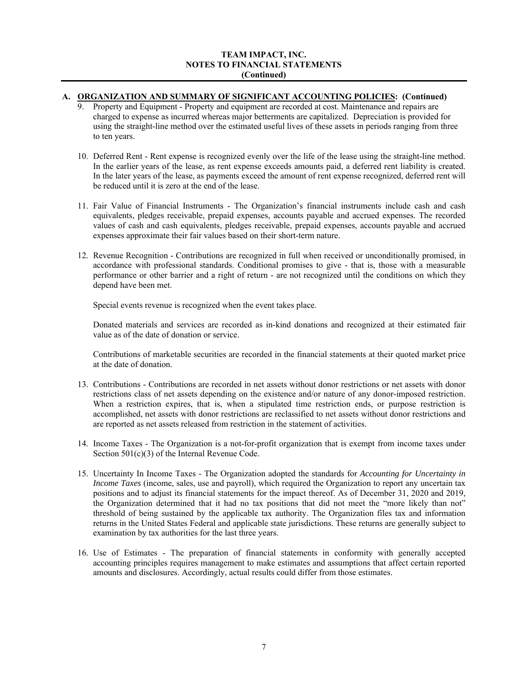# **A. ORGANIZATION AND SUMMARY OF SIGNIFICANT ACCOUNTING POLICIES: (Continued)**

- 9. Property and Equipment Property and equipment are recorded at cost. Maintenance and repairs are charged to expense as incurred whereas major betterments are capitalized. Depreciation is provided for using the straight-line method over the estimated useful lives of these assets in periods ranging from three to ten years.
- 10. Deferred Rent Rent expense is recognized evenly over the life of the lease using the straight-line method. In the earlier years of the lease, as rent expense exceeds amounts paid, a deferred rent liability is created. In the later years of the lease, as payments exceed the amount of rent expense recognized, deferred rent will be reduced until it is zero at the end of the lease.
- 11. Fair Value of Financial Instruments The Organization's financial instruments include cash and cash equivalents, pledges receivable, prepaid expenses, accounts payable and accrued expenses. The recorded values of cash and cash equivalents, pledges receivable, prepaid expenses, accounts payable and accrued expenses approximate their fair values based on their short-term nature.
- 12. Revenue Recognition Contributions are recognized in full when received or unconditionally promised, in accordance with professional standards. Conditional promises to give - that is, those with a measurable performance or other barrier and a right of return - are not recognized until the conditions on which they depend have been met.

Special events revenue is recognized when the event takes place.

Donated materials and services are recorded as in-kind donations and recognized at their estimated fair value as of the date of donation or service.

Contributions of marketable securities are recorded in the financial statements at their quoted market price at the date of donation.

- 13. Contributions Contributions are recorded in net assets without donor restrictions or net assets with donor restrictions class of net assets depending on the existence and/or nature of any donor-imposed restriction. When a restriction expires, that is, when a stipulated time restriction ends, or purpose restriction is accomplished, net assets with donor restrictions are reclassified to net assets without donor restrictions and are reported as net assets released from restriction in the statement of activities.
- 14. Income Taxes The Organization is a not-for-profit organization that is exempt from income taxes under Section 501(c)(3) of the Internal Revenue Code.
- 15. Uncertainty In Income Taxes The Organization adopted the standards for *Accounting for Uncertainty in Income Taxes* (income, sales, use and payroll), which required the Organization to report any uncertain tax positions and to adjust its financial statements for the impact thereof. As of December 31, 2020 and 2019, the Organization determined that it had no tax positions that did not meet the "more likely than not" threshold of being sustained by the applicable tax authority. The Organization files tax and information returns in the United States Federal and applicable state jurisdictions. These returns are generally subject to examination by tax authorities for the last three years.
- 16. Use of Estimates The preparation of financial statements in conformity with generally accepted accounting principles requires management to make estimates and assumptions that affect certain reported amounts and disclosures. Accordingly, actual results could differ from those estimates.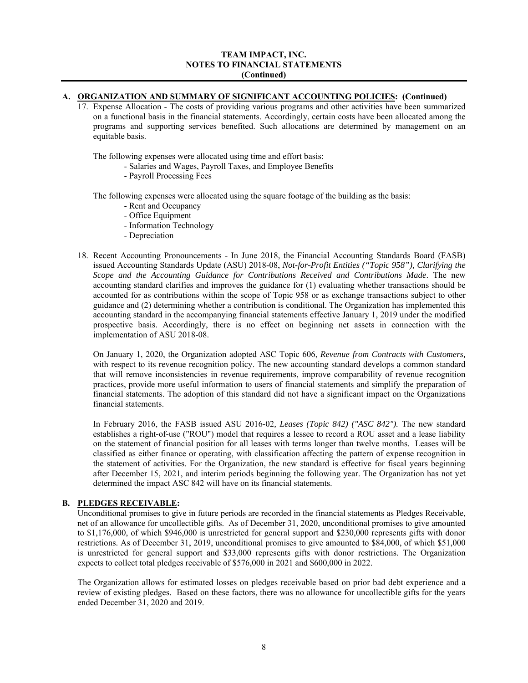## **A. ORGANIZATION AND SUMMARY OF SIGNIFICANT ACCOUNTING POLICIES: (Continued)**

17. Expense Allocation - The costs of providing various programs and other activities have been summarized on a functional basis in the financial statements. Accordingly, certain costs have been allocated among the programs and supporting services benefited. Such allocations are determined by management on an equitable basis.

The following expenses were allocated using time and effort basis:

- Salaries and Wages, Payroll Taxes, and Employee Benefits
	- Payroll Processing Fees

The following expenses were allocated using the square footage of the building as the basis:

- Rent and Occupancy
- Office Equipment
- Information Technology
- Depreciation
- 18. Recent Accounting Pronouncements In June 2018, the Financial Accounting Standards Board (FASB) issued Accounting Standards Update (ASU) 2018-08, *Not-for-Profit Entities ("Topic 958"), Clarifying the Scope and the Accounting Guidance for Contributions Received and Contributions Made*. The new accounting standard clarifies and improves the guidance for (1) evaluating whether transactions should be accounted for as contributions within the scope of Topic 958 or as exchange transactions subject to other guidance and (2) determining whether a contribution is conditional. The Organization has implemented this accounting standard in the accompanying financial statements effective January 1, 2019 under the modified prospective basis. Accordingly, there is no effect on beginning net assets in connection with the implementation of ASU 2018-08.

On January 1, 2020, the Organization adopted ASC Topic 606, *Revenue from Contracts with Customers,*  with respect to its revenue recognition policy. The new accounting standard develops a common standard that will remove inconsistencies in revenue requirements, improve comparability of revenue recognition practices, provide more useful information to users of financial statements and simplify the preparation of financial statements. The adoption of this standard did not have a significant impact on the Organizations financial statements.

In February 2016, the FASB issued ASU 2016-02*, Leases (Topic 842) ("ASC 842").* The new standard establishes a right-of-use ("ROU") model that requires a lessee to record a ROU asset and a lease liability on the statement of financial position for all leases with terms longer than twelve months. Leases will be classified as either finance or operating, with classification affecting the pattern of expense recognition in the statement of activities. For the Organization, the new standard is effective for fiscal years beginning after December 15, 2021, and interim periods beginning the following year. The Organization has not yet determined the impact ASC 842 will have on its financial statements.

## **B. PLEDGES RECEIVABLE:**

Unconditional promises to give in future periods are recorded in the financial statements as Pledges Receivable, net of an allowance for uncollectible gifts. As of December 31, 2020, unconditional promises to give amounted to \$1,176,000, of which \$946,000 is unrestricted for general support and \$230,000 represents gifts with donor restrictions. As of December 31, 2019, unconditional promises to give amounted to \$84,000, of which \$51,000 is unrestricted for general support and \$33,000 represents gifts with donor restrictions. The Organization expects to collect total pledges receivable of \$576,000 in 2021 and \$600,000 in 2022.

The Organization allows for estimated losses on pledges receivable based on prior bad debt experience and a review of existing pledges. Based on these factors, there was no allowance for uncollectible gifts for the years ended December 31, 2020 and 2019.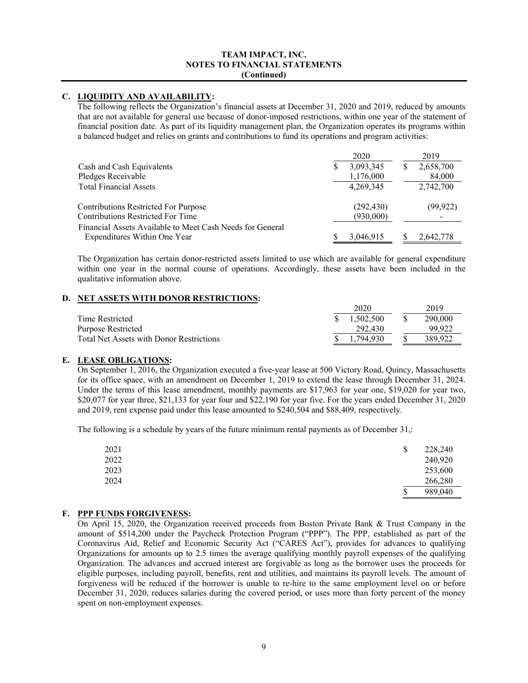## **C. LIQUIDITY AND AVAILABILITY:**

The following reflects the Organization's financial assets at December 31, 2020 and 2019, reduced by amounts that are not available for general use because of donor-imposed restrictions, within one year of the statement of financial position date. As part of its liquidity management plan, the Organization operates its programs within a balanced budget and relies on grants and contributions to fund its operations and program activities:

|                                                           | 2020       | 2019      |
|-----------------------------------------------------------|------------|-----------|
| Cash and Cash Equivalents                                 | 3,093,345  | 2,658,700 |
| Pledges Receivable                                        | 1,176,000  | 84,000    |
| <b>Total Financial Assets</b>                             | 4,269,345  | 2,742,700 |
| <b>Contributions Restricted For Purpose</b>               | (292, 430) | (99, 922) |
| <b>Contributions Restricted For Time</b>                  | (930,000)  |           |
| Financial Assets Available to Meet Cash Needs for General |            |           |
| Expenditures Within One Year                              | 3,046,915  | 2,642,778 |

The Organization has certain donor-restricted assets limited to use which are available for general expenditure within one year in the normal course of operations. Accordingly, these assets have been included in the qualitative information above.

### **D. NET ASSETS WITH DONOR RESTRICTIONS:**

|                                          | 2020                   |  | 2019    |
|------------------------------------------|------------------------|--|---------|
| Time Restricted                          | $\frac{\$}{1.502.500}$ |  | 290,000 |
| Purpose Restricted                       | 292,430                |  | 99.922  |
| Total Net Assets with Donor Restrictions | 1.794.930              |  | 389.922 |

## **E. LEASE OBLIGATIONS:**

On September 1, 2016, the Organization executed a five-year lease at 500 Victory Road, Quincy, Massachusetts for its office space, with an amendment on December 1, 2019 to extend the lease through December 31, 2024. Under the terms of this lease amendment, monthly payments are \$17,963 for year one, \$19,020 for year two, \$20,077 for year three, \$21,133 for year four and \$22,190 for year five. For the years ended December 31, 2020 and 2019, rent expense paid under this lease amounted to \$240,504 and \$88,409, respectively.

The following is a schedule by years of the future minimum rental payments as of December 31,:

| 2021 | S  | 228,240 |
|------|----|---------|
| 2022 |    | 240,920 |
| 2023 |    | 253,600 |
| 2024 |    | 266,280 |
|      | \$ | 989,040 |

#### **F. PPP FUNDS FORGIVENESS:**

On April 15, 2020, the Organization received proceeds from Boston Private Bank & Trust Company in the amount of \$514,200 under the Paycheck Protection Program ("PPP"). The PPP, established as part of the Coronavirus Aid, Relief and Economic Security Act ("CARES Act"), provides for advances to qualifying Organizations for amounts up to 2.5 times the average qualifying monthly payroll expenses of the qualifying Organization. The advances and accrued interest are forgivable as long as the borrower uses the proceeds for eligible purposes, including payroll, benefits, rent and utilities, and maintains its payroll levels. The amount of forgiveness will be reduced if the borrower is unable to re-hire to the same employment level on or before December 31, 2020, reduces salaries during the covered period, or uses more than forty percent of the money spent on non-employment expenses.